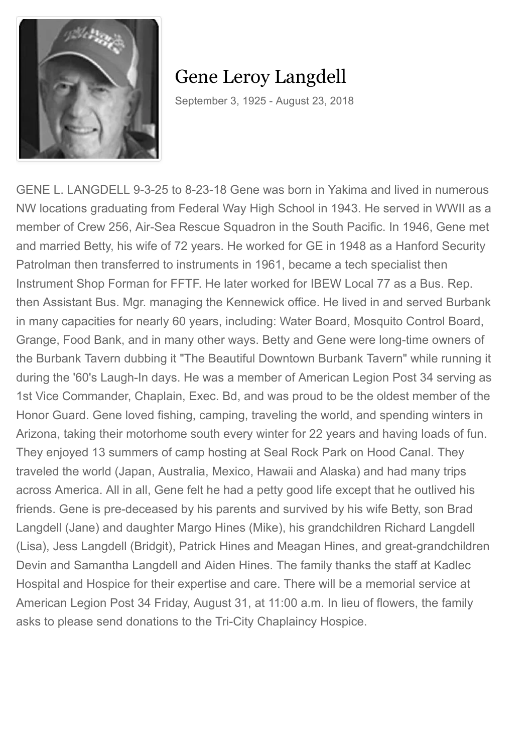

## Gene Leroy Langdell

September 3, 1925 - August 23, 2018

GENE L. LANGDELL 9-3-25 to 8-23-18 Gene was born in Yakima and lived in numerous NW locations graduating from Federal Way High School in 1943. He served in WWII as a member of Crew 256, Air-Sea Rescue Squadron in the South Pacific. In 1946, Gene met and married Betty, his wife of 72 years. He worked for GE in 1948 as a Hanford Security Patrolman then transferred to instruments in 1961, became a tech specialist then Instrument Shop Forman for FFTF. He later worked for IBEW Local 77 as a Bus. Rep. then Assistant Bus. Mgr. managing the Kennewick office. He lived in and served Burbank in many capacities for nearly 60 years, including: Water Board, Mosquito Control Board, Grange, Food Bank, and in many other ways. Betty and Gene were long-time owners of the Burbank Tavern dubbing it "The Beautiful Downtown Burbank Tavern" while running it during the '60's Laugh-In days. He was a member of American Legion Post 34 serving as 1st Vice Commander, Chaplain, Exec. Bd, and was proud to be the oldest member of the Honor Guard. Gene loved fishing, camping, traveling the world, and spending winters in Arizona, taking their motorhome south every winter for 22 years and having loads of fun. They enjoyed 13 summers of camp hosting at Seal Rock Park on Hood Canal. They traveled the world (Japan, Australia, Mexico, Hawaii and Alaska) and had many trips across America. All in all, Gene felt he had a petty good life except that he outlived his friends. Gene is pre-deceased by his parents and survived by his wife Betty, son Brad Langdell (Jane) and daughter Margo Hines (Mike), his grandchildren Richard Langdell (Lisa), Jess Langdell (Bridgit), Patrick Hines and Meagan Hines, and great-grandchildren Devin and Samantha Langdell and Aiden Hines. The family thanks the staff at Kadlec Hospital and Hospice for their expertise and care. There will be a memorial service at American Legion Post 34 Friday, August 31, at 11:00 a.m. In lieu of flowers, the family asks to please send donations to the Tri-City Chaplaincy Hospice.